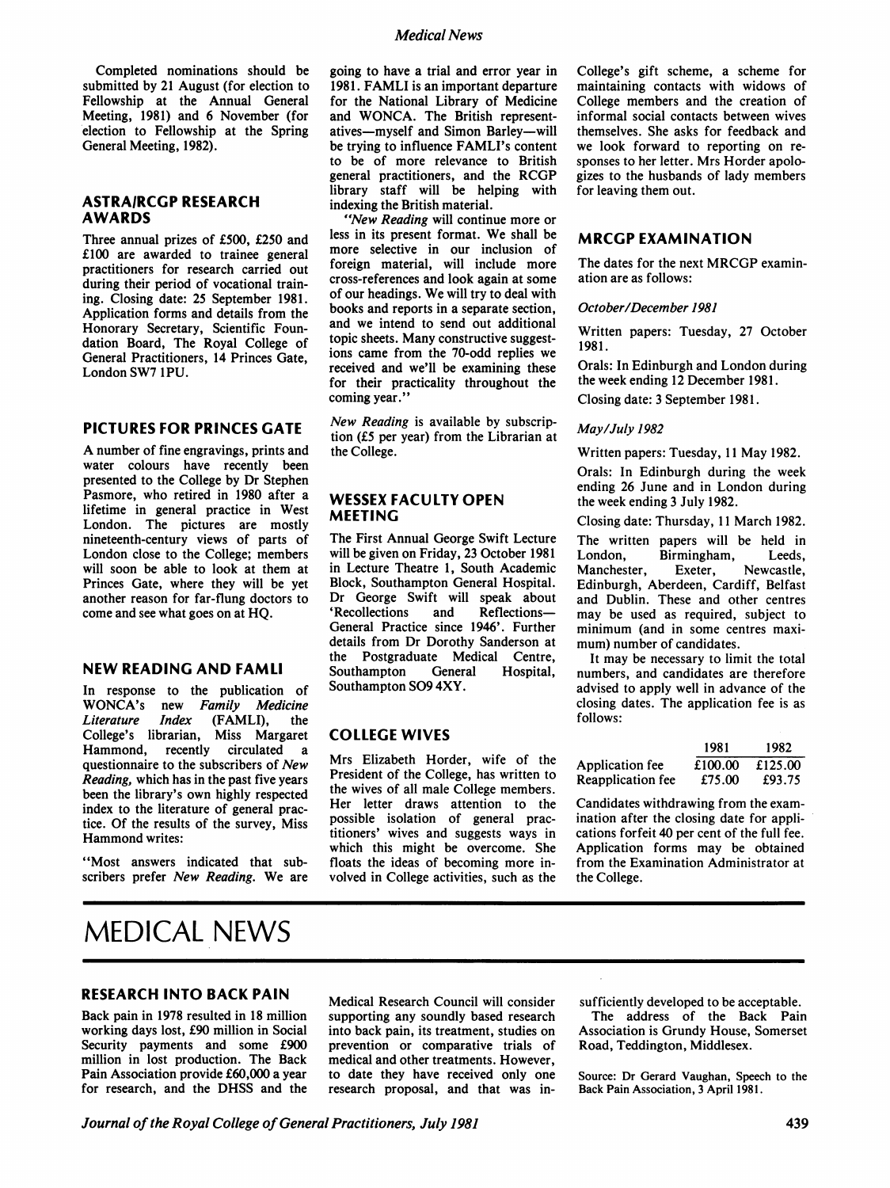Medical News

Completed nominations should be submitted by 21 August (for election to Fellowship at the Annual General Meeting, 1981) and 6 November (for election to Fellowship at the Spring General Meeting, 1982).

#### ASTRAIRCGP RESEARCH AWARDS

Three annual prizes of £500, £250 and £100 are awarded to trainee general practitioners for research carried out during their period of vocational training. Closing date: 25 September 1981. Application forms and details from the Honorary Secretary, Scientific Foundation Board, The Royal College of General Practitioners, 14 Princes Gate, London SW7 <sup>1</sup>PU.

#### PICTURES FOR PRINCES GATE

A number of fine engravings, prints and water colours have recently been presented to the College by Dr Stephen Pasmore, who retired in 1980 after a lifetime in general practice in West London. The pictures are mostly nineteenth-century views of parts of London close to the College; members will soon be able to look at them at Princes Gate, where they will be yet another reason for far-flung doctors to come and see what goes on at HQ.

#### NEW READING AND FAMLI

In response to the publication of WONCA's new Family Medicine<br>Literature Index (FAMLI), the Literature College's librarian, Miss Margaret circulated a questionnaire to the subscribers of New Reading, which has in the past five years been the library's own highly respected index to the literature of general practice. Of the results of the survey, Miss Hammond writes:

"Most answers indicated that subscribers prefer New Reading. We are going to have a trial and error year in 1981. FAMLI is an important departure for the National Library of Medicine and WONCA. The British representatives-myself and Simon Barley-will be trying to influence FAMLI's content to be of more relevance to British general practitioners, and the RCGP library staff will be helping with indexing the British material.

"New Reading will continue more or less in its present format. We shall be more selective in our inclusion of foreign material, will include more cross-references and look again at some of our headings. We will try to deal with books and reports in a separate section, and we intend to send out additional topic sheets. Many constructive suggestions came from the 70-odd replies we received and we'll be examining these for their practicality throughout the coming year."

New Reading is available by subscription (£5 per year) from the Librarian at the College.

#### WESSEX FACULTY OPEN MEETING

The First Annual George Swift Lecture will be given on Friday, 23 October 1981 in Lecture Theatre 1, South Academic Block, Southampton General Hospital. Dr George Swift will speak about<br>'Recollections and Reflections— 'Recollections General Practice since 1946'. Further details from Dr Dorothy Sanderson at the Postgraduate Medical Centre,<br>Southampton General Hospital, Southampton Southampton S09 4XY.

## COLLEGE WIVES

Mrs Elizabeth Horder, wife of the President of the College, has written to the wives of all male College members. Her letter draws attention to the possible isolation of general practitioners' wives and suggests ways in which this might be overcome. She floats the ideas of becoming more involved in College activities, such as the College's gift scheme, a scheme for maintaining contacts with widows of College members and the creation of informal social contacts between wives themselves. She asks for feedback and we look forward to reporting on responses to her letter. Mrs Horder apologizes to the husbands of lady members for leaving them out.

## MRCGP EXAMINATION

The dates for the next MRCGP examination are as follows:

#### October/December 1981

Written papers: Tuesday, 27 October 1981.

Orals: In Edinburgh and London during the week ending 12 December 1981. Closing date: 3 September 1981.

# May/July 1982

Written papers: Tuesday, <sup>11</sup> May 1982.

Orals: In Edinburgh during the week ending 26 June and in London during the week ending 3 July 1982.

Closing date: Thursday, <sup>11</sup> March 1982.

The written papers will be held in<br>London. Birmingham. Leeds. Birmingham, Manchester, Exeter, Newcastle, Edinburgh, Aberdeen, Cardiff, Belfast and Dublin. These and other centres may be used as required, subject to minimum (and in some centres maximum) number of candidates.

It may be necessary to limit the total numbers, and candidates are therefore advised to apply well in advance of the closing dates. The application fee is as follows:

|                   | 1981    | 1982    |
|-------------------|---------|---------|
| Application fee   | £100.00 | £125.00 |
| Reapplication fee | £75.00  | £93.75  |

Candidates withdrawing from the examination after the closing date for applications forfeit 40 per cent of the full fee. Application forms may be obtained from the Examination Administrator at the College.

# MEDICAL NEWS

# RESEARCH INTO BACK PAIN

Back pain in 1978 resulted in 18 million working days lost, £90 million in Social Security payments and some £900 million in lost production. The Back Pain Association provide £60,000 a year for research, and the DHSS and the

Medical Research Council will consider supporting any soundly based research into back pain, its treatment, studies on prevention or comparative trials of medical and other treatments. However, to date they have received only one research proposal, and that was in-

sufficiently developed to be acceptable.

The address of the Back Pain Association is Grundy House, Somerset Road, Teddington, Middlesex.

Source: Dr Gerard Vaughan, Speech to the Back Pain Association, 3 April 1981.